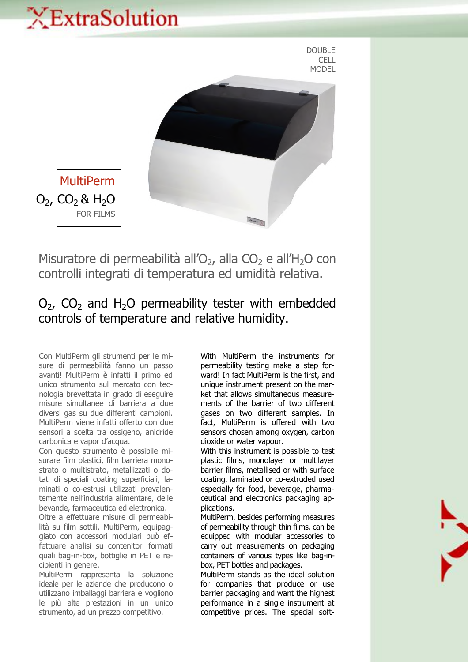# XExtraSolution





MultiPerm  $O_2$ , CO<sub>2</sub> & H<sub>2</sub>O FOR FILMS

Misuratore di permeabilità all'O<sub>2</sub>, alla CO<sub>2</sub> e all'H<sub>2</sub>O con controlli integrati di temperatura ed umidità relativa.

## $O<sub>2</sub>$ ,  $CO<sub>2</sub>$  and H<sub>2</sub>O permeability tester with embedded controls of temperature and relative humidity.

Con MultiPerm gli strumenti per le misure di permeabilità fanno un passo avanti! MultiPerm è infatti il primo ed unico strumento sul mercato con tecnologia brevettata in grado di eseguire misure simultanee di barriera a due diversi gas su due differenti campioni. MultiPerm viene infatti offerto con due sensori a scelta tra ossigeno, anidride carbonica e vapor d'acqua.

Con questo strumento è possibile misurare film plastici, film barriera monostrato o multistrato, metallizzati o dotati di speciali coating superficiali, laminati o co-estrusi utilizzati prevalentemente nell'industria alimentare, delle bevande, farmaceutica ed elettronica.

Oltre a effettuare misure di permeabilità su film sottili, MultiPerm, equipaggiato con accessori modulari può effettuare analisi su contenitori formati quali bag-in-box, bottiglie in PET e recipienti in genere.

MultiPerm rappresenta la soluzione ideale per le aziende che producono o utilizzano imballaggi barriera e vogliono le più alte prestazioni in un unico strumento, ad un prezzo competitivo.

With MultiPerm the instruments for permeability testing make a step forward! In fact MultiPerm is the first, and unique instrument present on the market that allows simultaneous measurements of the barrier of two different gases on two different samples. In fact, MultiPerm is offered with two sensors chosen among oxygen, carbon dioxide or water vapour.

With this instrument is possible to test plastic films, monolayer or multilayer barrier films, metallised or with surface coating, laminated or co-extruded used especially for food, beverage, pharmaceutical and electronics packaging applications.

MultiPerm, besides performing measures of permeability through thin films, can be equipped with modular accessories to carry out measurements on packaging containers of various types like bag-inbox, PET bottles and packages.

MultiPerm stands as the ideal solution for companies that produce or use barrier packaging and want the highest performance in a single instrument at competitive prices. The special soft-